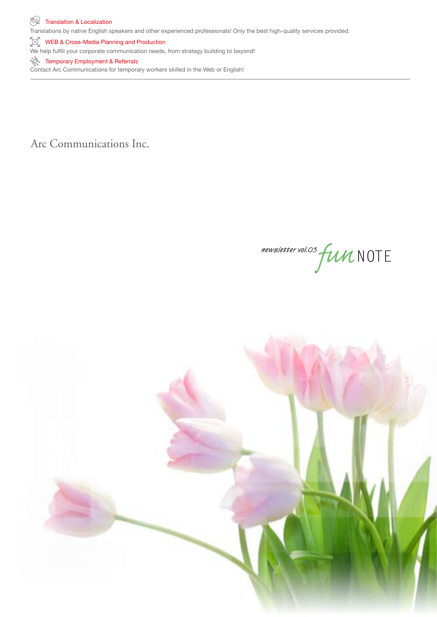Translations by native English speakers and other experienced professionals! Only the best high-quality services provided.

 $\left[\begin{matrix} \mathbb{R}^n \\ \mathbb{R}^n \end{matrix}\right]$  WEB & Cross-Media Planning and Production

We help fulfill your corporate communication needs, from strategy building to beyond!

# **Temporary Employment & Referrals**

Contact Arc Communications for temporary workers skilled in the Web or English!

Arc Communications Inc.

newsletter vol.03 fun NOTE

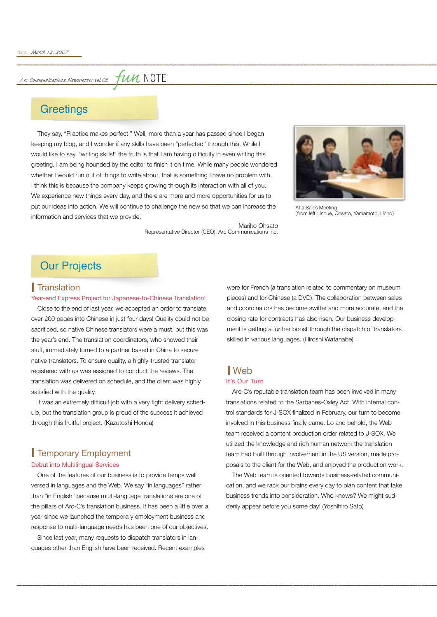Arc Communications Newsletter vol.03

# *fun* note

# **Greetings**

They say, "Practice makes perfect." Well, more than a year has passed since I began keeping my blog, and I wonder if any skills have been "perfected" through this. While I would like to say, "writing skills!" the truth is that I am having difficulty in even writing this greeting. I am being hounded by the editor to finish it on time. While many people wondered whether I would run out of things to write about, that is something I have no problem with. I think this is because the company keeps growing through its interaction with all of you. We experience new things every day, and there are more and more opportunities for us to put our ideas into action. We will continue to challenge the new so that we can increase the information and services that we provide.



At a Sales Meeting (from left : Inoue, Ohsato, Yamamoto, Unno)

Mariko Ohsato Representative Director (CEO), Arc Communications Inc.

# **Our Projects**

# **Translation**

## Year-end Express Project for Japanese-to-Chinese Translation!

Close to the end of last year, we accepted an order to translate over 200 pages into Chinese in just four days! Quality could not be sacrificed, so native Chinese translators were a must, but this was the year's end. The translation coordinators, who showed their stuff, immediately turned to a partner based in China to secure native translators. To ensure quality, a highly-trusted translator registered with us was assigned to conduct the reviews. The translation was delivered on schedule, and the client was highly satisfied with the quality.

It was an extremely difficult job with a very tight delivery schedule, but the translation group is proud of the success it achieved through this fruitful project. (Kazutoshi Honda)

# **Temporary Employment**

## Debut into Multilingual Services

One of the features of our business is to provide temps well versed in languages and the Web. We say "in languages" rather than "in English" because multi-language translations are one of the pillars of Arc-C's translation business. It has been a little over a year since we launched the temporary employment business and response to multi-language needs has been one of our objectives.

Since last year, many requests to dispatch translators in languages other than English have been received. Recent examples were for French (a translation related to commentary on museum pieces) and for Chinese (a DVD). The collaboration between sales and coordinators has become swifter and more accurate, and the closing rate for contracts has also risen. Our business development is getting a further boost through the dispatch of translators skilled in various languages. (Hiroshi Watanabe)

# Web

# It's Our Turn

Arc-C's reputable translation team has been involved in many translations related to the Sarbanes-Oxley Act. With internal control standards for J-SOX finalized in February, our turn to become involved in this business finally came. Lo and behold, the Web team received a content production order related to J-SOX. We utilized the knowledge and rich human network the translation team had built through involvement in the US version, made proposals to the client for the Web, and enjoyed the production work.

The Web team is oriented towards business-related communication, and we rack our brains every day to plan content that take business trends into consideration. Who knows? We might suddenly appear before you some day! (Yoshihiro Sato)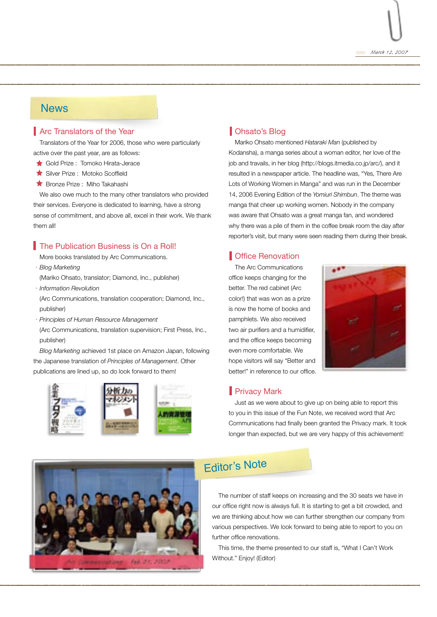

# **News**

# **Arc Translators of the Year**

Translators of the Year for 2006, those who were particularly active over the past year, are as follows:

- Gold Prize : Tomoko Hirata-Jerace
- Silver Prize : Motoko Scoffield
- **Bronze Prize : Miho Takahashi**

We also owe much to the many other translators who provided their services. Everyone is dedicated to learning, have a strong sense of commitment, and above all, excel in their work. We thank them all!

# **The Publication Business is On a Roll!**

More books translated by Arc Communications.

- ・*Blog Marketing*
- (Mariko Ohsato, translator; Diamond, Inc., publisher)
- ・*Information Revolution*

(Arc Communications, translation cooperation; Diamond, Inc., publisher)

・*Principles of Human Resource Management*

(Arc Communications, translation supervision; First Press, Inc., publisher)

*Blog Marketing* achieved 1st place on Amazon Japan, following the Japanese translation of *Principles of Management*. Other publications are lined up, so do look forward to them!



# **Ohsato's Blog**

Mariko Ohsato mentioned *Hataraki Man* (published by Kodansha), a manga series about a woman editor, her love of the job and travails, in her blog (http://blogs.itmedia.co.jp/arc/), and it resulted in a newspaper article. The headline was, "Yes, There Are Lots of Working Women in Manga" and was run in the December 14, 2006 Evening Edition of the *Yomiuri Shimbun*. The theme was manga that cheer up working women. Nobody in the company was aware that Ohsato was a great manga fan, and wondered why there was a pile of them in the coffee break room the day after reporter's visit, but many were seen reading them during their break.

# **Coffice Renovation**

The Arc Communications office keeps changing for the better. The red cabinet (Arc color!) that was won as a prize is now the home of books and pamphlets. We also received two air purifiers and a humidifier, and the office keeps becoming even more comfortable. We hope visitors will say "Better and better!" in reference to our office.



# **Privacy Mark**

Just as we were about to give up on being able to report this to you in this issue of the Fun Note, we received word that Arc Communications had finally been granted the Privacy mark. It took longer than expected, but we are very happy of this achievement!



# Editor's Note

The number of staff keeps on increasing and the 30 seats we have in our office right now is always full. It is starting to get a bit crowded, and we are thinking about how we can further strengthen our company from various perspectives. We look forward to being able to report to you on further office renovations.

This time, the theme presented to our staff is, "What I Can't Work Without." Enjoy! (Editor)